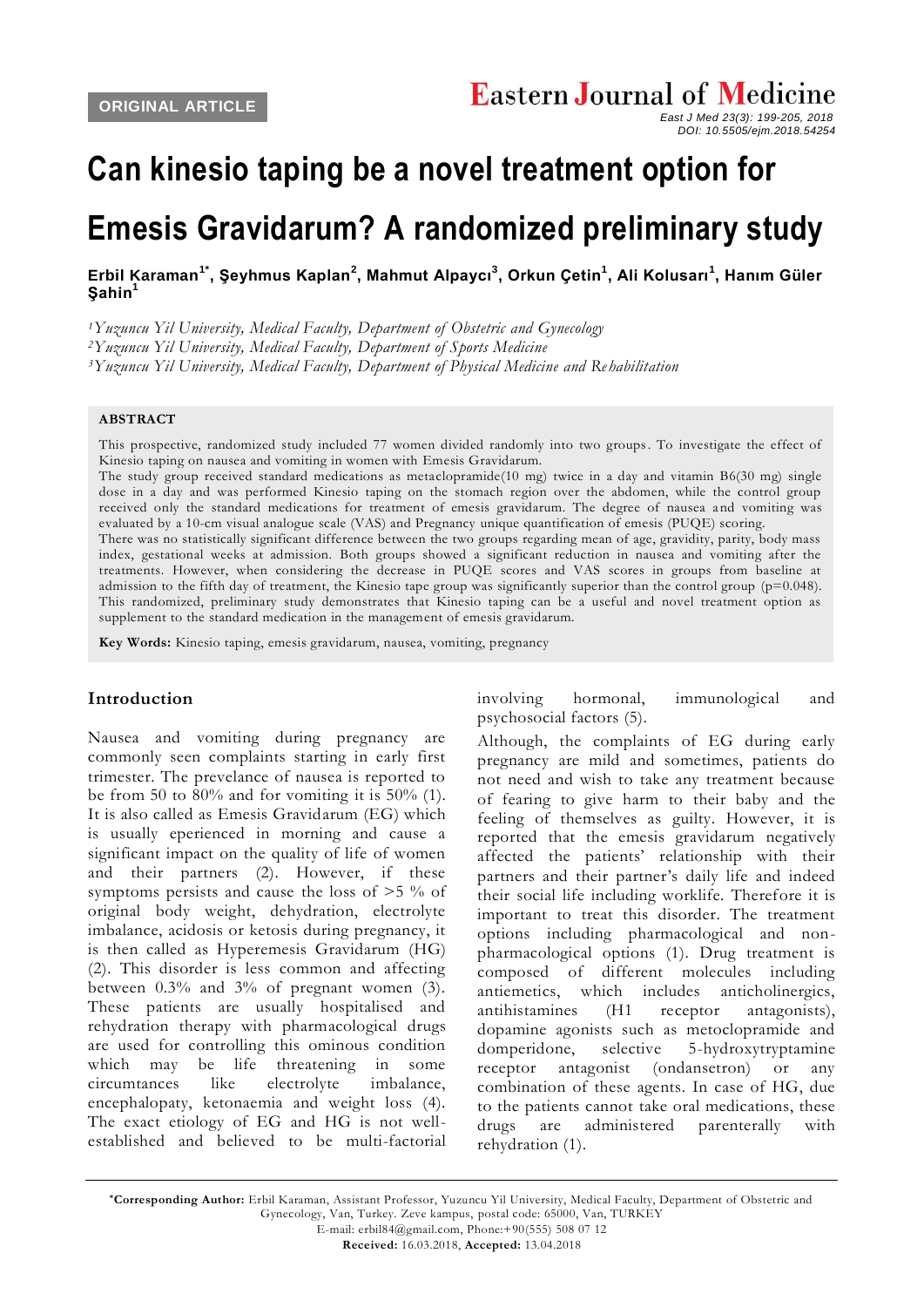# **Can kinesio taping be a novel treatment option for**

## **Emesis Gravidarum? A randomized preliminary study**

**[Erbil Karaman](javascript:sa()1\* , [Şeyhmus Kaplan](javascript:sa()<sup>2</sup> , [Mahmut Alpaycı](javascript:sa()<sup>3</sup> , [Orkun Çetin](javascript:sa()<sup>1</sup> , [Ali Kolusarı](javascript:sa()<sup>1</sup> , [Hanım Güler](javascript:sa()  [Şahin](javascript:sa()<sup>1</sup>**

*<sup>1</sup>Yuzuncu Yil University, Medical Faculty, Department of Obstetric and Gynecology*

*<sup>2</sup>Yuzuncu Yil University, Medical Faculty, Department of Sports Medicine*

*<sup>3</sup>Yuzuncu Yil University, Medical Faculty, Department of Physical Medicine and Re habilitation*

#### **ABSTRACT**

This prospective, randomized study included 77 women divided randomly into two groups. To investigate the effect of Kinesio taping on nausea and vomiting in women with Emesis Gravidarum.

The study group received standard medications as metaclopramide(10 mg) twice in a day and vitamin B6(30 mg) single dose in a day and was performed Kinesio taping on the stomach region over the abdomen, while the control group received only the standard medications for treatment of emesis gravidarum. The degree of nausea and vomiting was evaluated by a 10-cm visual analogue scale (VAS) and Pregnancy unique quantification of emesis (PUQE) scoring.

There was no statistically significant difference between the two groups regarding mean of age, gravidity, parity, body mass index, gestational weeks at admission. Both groups showed a significant reduction in nausea and vomiting after the treatments. However, when considering the decrease in PUQE scores and VAS scores in groups from baseline at admission to the fifth day of treatment, the Kinesio tape group was significantly superior than the control group ( $p=0.048$ ). This randomized, preliminary study demonstrates that Kinesio taping can be a useful and novel treatment option as supplement to the standard medication in the management of emesis gravidarum.

**Key Words:** Kinesio taping, emesis gravidarum, nausea, vomiting, pregnancy

#### **Introduction**

Nausea and vomiting during pregnancy are commonly seen complaints starting in early first trimester. The prevelance of nausea is reported to be from 50 to  $80\%$  and for vomiting it is 50% (1). It is also called as Emesis Gravidarum (EG) which is usually eperienced in morning and cause a significant impact on the quality of life of women and their partners (2). However, if these symptoms persists and cause the loss of >5 % of original body weight, dehydration, electrolyte imbalance, acidosis or ketosis during pregnancy, it is then called as Hyperemesis Gravidarum (HG) (2). This disorder is less common and affecting between 0.3% and 3% of pregnant women (3). These patients are usually hospitalised and rehydration therapy with pharmacological drugs are used for controlling this ominous condition which may be life threatening in some circumtances like electrolyte imbalance, encephalopaty, ketonaemia and weight loss (4). The exact etiology of EG and HG is not wellestablished and believed to be multi-factorial

involving hormonal, immunological and psychosocial factors (5).

Although, the complaints of EG during early pregnancy are mild and sometimes, patients do not need and wish to take any treatment because of fearing to give harm to their baby and the feeling of themselves as guilty. However, it is reported that the emesis gravidarum negatively affected the patients' relationship with their partners and their partner's daily life and indeed their social life including worklife. Therefore it is important to treat this disorder. The treatment options including pharmacological and nonpharmacological options (1). Drug treatment is composed of different molecules including antiemetics, which includes anticholinergics, antihistamines (H1 receptor antagonists), dopamine agonists such as metoclopramide and domperidone, selective 5-hydroxytryptamine receptor antagonist (ondansetron) or any combination of these agents. In case of HG, due to the patients cannot take oral medications, these drugs are administered parenterally with rehydration (1).

**\*Corresponding Author:** Erbil Karaman, Assistant Professor, Yuzuncu Yil University, Medical Faculty, Department of Obstetric and Gynecology, Van, Turkey. Zeve kampus, postal code: 65000, Van, TURKEY E-mail: erbil84@gmail.com, Phone:+90(555) 508 07 12

**Received:** 16.03.2018, **Accepted:** 13.04.2018

*East J Med 23(3): 199-205, 2018 DOI: 10.5505/ejm.2018.54254*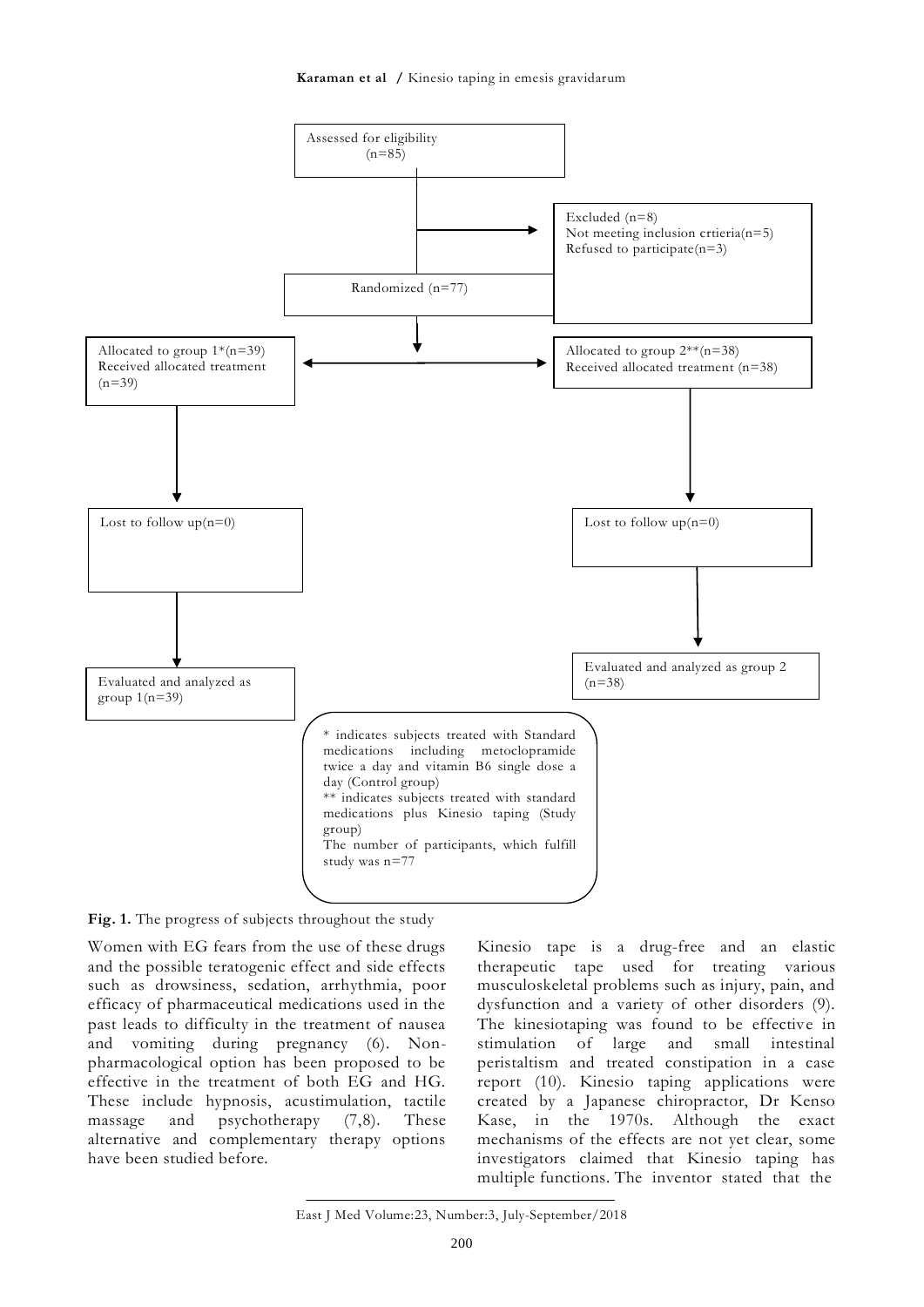**Karaman et al /** Kinesio taping in emesis gravidarum



**Fig. 1.** The progress of subjects throughout the study

Women with EG fears from the use of these drugs and the possible teratogenic effect and side effects such as drowsiness, sedation, arrhythmia, poor efficacy of pharmaceutical medications used in the past leads to difficulty in the treatment of nausea and vomiting during pregnancy (6). Nonpharmacological option has been proposed to be effective in the treatment of both EG and HG. These include hypnosis, acustimulation, tactile massage and psychotherapy (7,8). These alternative and complementary therapy options have been studied before.

Kinesio tape is a drug-free and an elastic therapeutic tape used for treating various musculoskeletal problems such as injury, pain, and dysfunction and a variety of other disorders (9). The kinesiotaping was found to be effective in stimulation of large and small intestinal peristaltism and treated constipation in a case report (10). Kinesio taping applications were created by a Japanese chiropractor, Dr Kenso Kase, in the 1970s. Although the exact mechanisms of the effects are not yet clear, some investigators claimed that Kinesio taping has multiple functions. The inventor stated that the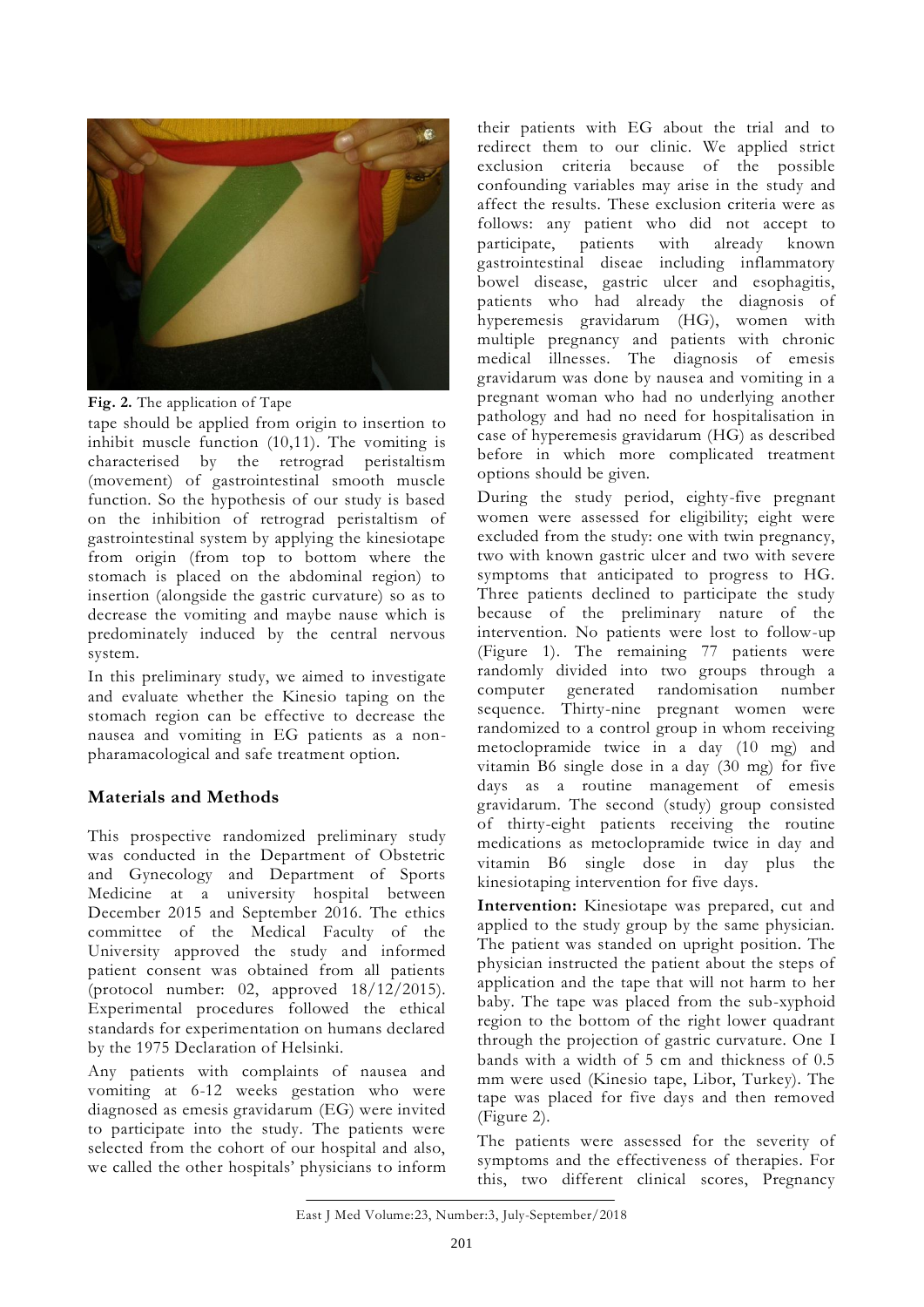



tape should be applied from origin to insertion to inhibit muscle function (10,11). The vomiting is characterised by the retrograd peristaltism (movement) of gastrointestinal smooth muscle function. So the hypothesis of our study is based on the inhibition of retrograd peristaltism of gastrointestinal system by applying the kinesiotape from origin (from top to bottom where the stomach is placed on the abdominal region) to insertion (alongside the gastric curvature) so as to decrease the vomiting and maybe nause which is predominately induced by the central nervous system.

In this preliminary study, we aimed to investigate and evaluate whether the Kinesio taping on the stomach region can be effective to decrease the nausea and vomiting in EG patients as a nonpharamacological and safe treatment option.

## **Materials and Methods**

This prospective randomized preliminary study was conducted in the Department of Obstetric and Gynecology and Department of Sports Medicine at a university hospital between December 2015 and September 2016. The ethics committee of the Medical Faculty of the University approved the study and informed patient consent was obtained from all patients (protocol number: 02, approved 18/12/2015). Experimental procedures followed the ethical standards for experimentation on humans declared by the 1975 Declaration of Helsinki.

Any patients with complaints of nausea and vomiting at 6-12 weeks gestation who were diagnosed as emesis gravidarum (EG) were invited to participate into the study. The patients were selected from the cohort of our hospital and also, we called the other hospitals' physicians to inform

their patients with EG about the trial and to redirect them to our clinic. We applied strict exclusion criteria because of the possible confounding variables may arise in the study and affect the results. These exclusion criteria were as follows: any patient who did not accept to participate, patients with already known gastrointestinal diseae including inflammatory bowel disease, gastric ulcer and esophagitis, patients who had already the diagnosis of hyperemesis gravidarum (HG), women with multiple pregnancy and patients with chronic medical illnesses. The diagnosis of emesis gravidarum was done by nausea and vomiting in a pregnant woman who had no underlying another pathology and had no need for hospitalisation in case of hyperemesis gravidarum (HG) as described before in which more complicated treatment options should be given.

During the study period, eighty-five pregnant women were assessed for eligibility; eight were excluded from the study: one with twin pregnancy, two with known gastric ulcer and two with severe symptoms that anticipated to progress to HG. Three patients declined to participate the study because of the preliminary nature of the intervention. No patients were lost to follow-up (Figure 1). The remaining 77 patients were randomly divided into two groups through a computer generated randomisation number sequence. Thirty-nine pregnant women were randomized to a control group in whom receiving metoclopramide twice in a day (10 mg) and vitamin B6 single dose in a day (30 mg) for five days as a routine management of emesis gravidarum. The second (study) group consisted of thirty-eight patients receiving the routine medications as metoclopramide twice in day and vitamin B6 single dose in day plus the kinesiotaping intervention for five days.

**Intervention:** Kinesiotape was prepared, cut and applied to the study group by the same physician. The patient was standed on upright position. The physician instructed the patient about the steps of application and the tape that will not harm to her baby. The tape was placed from the sub-xyphoid region to the bottom of the right lower quadrant through the projection of gastric curvature. One I bands with a width of 5 cm and thickness of 0.5 mm were used (Kinesio tape, Libor, Turkey). The tape was placed for five days and then removed (Figure 2).

The patients were assessed for the severity of symptoms and the effectiveness of therapies. For this, two different clinical scores, Pregnancy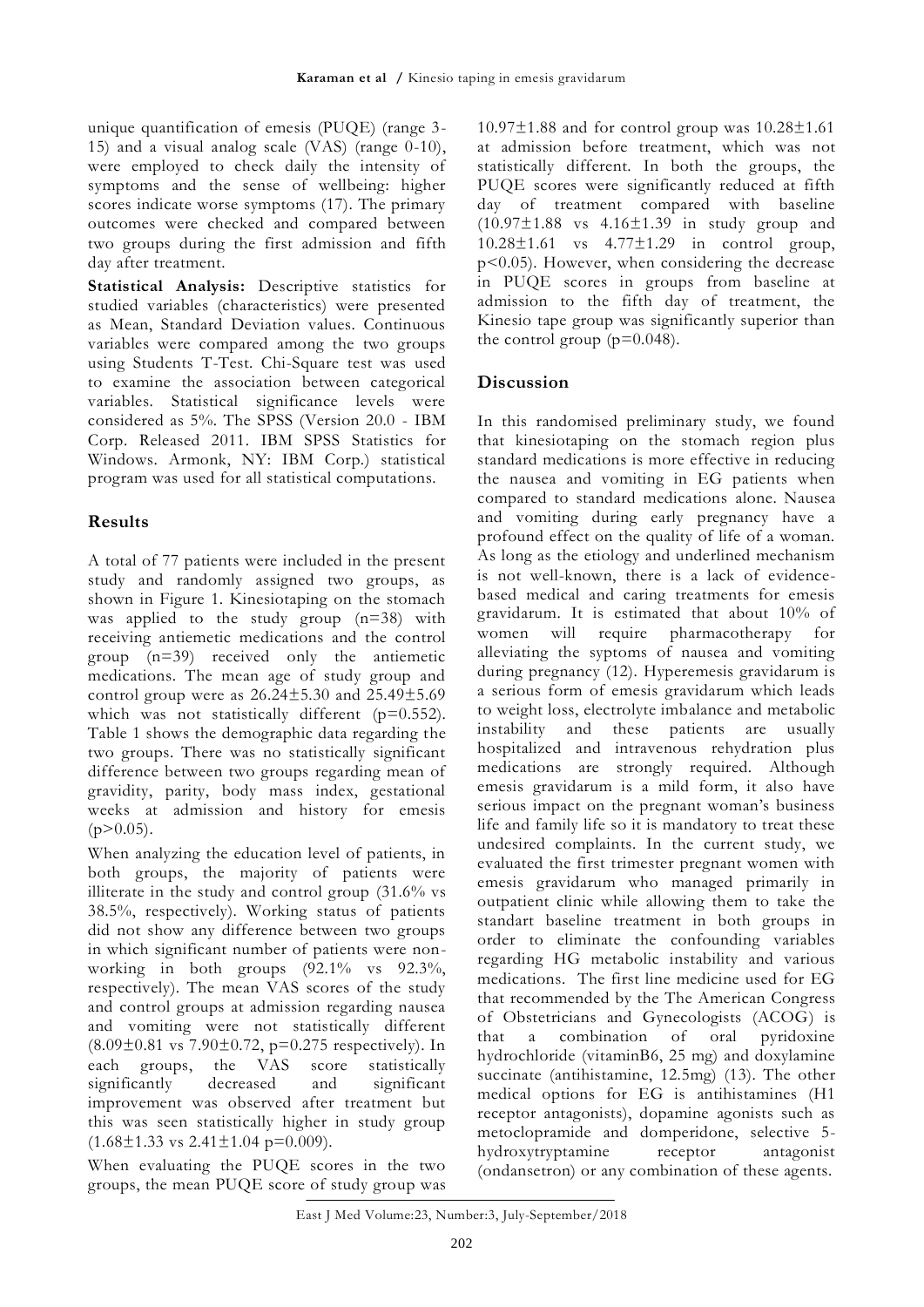unique quantification of emesis (PUQE) (range 3- 15) and a visual analog scale  $(VAS)$  (range  $0-10$ ), were employed to check daily the intensity of symptoms and the sense of wellbeing: higher scores indicate worse symptoms (17). The primary outcomes were checked and compared between two groups during the first admission and fifth day after treatment.

**Statistical Analysis:** Descriptive statistics for studied variables (characteristics) were presented as Mean, Standard Deviation values. Continuous variables were compared among the two groups using Students T-Test. Chi-Square test was used to examine the association between categorical variables. Statistical significance levels were considered as 5%. The SPSS (Version 20.0 - IBM Corp. Released 2011. IBM SPSS Statistics for Windows. Armonk, NY: IBM Corp.) statistical program was used for all statistical computations.

#### **Results**

A total of 77 patients were included in the present study and randomly assigned two groups, as shown in Figure 1. Kinesiotaping on the stomach was applied to the study group (n=38) with receiving antiemetic medications and the control group (n=39) received only the antiemetic medications. The mean age of study group and control group were as 26.24±5.30 and 25.49±5.69 which was not statistically different (p=0.552). Table 1 shows the demographic data regarding the two groups. There was no statistically significant difference between two groups regarding mean of gravidity, parity, body mass index, gestational weeks at admission and history for emesis  $(p>0.05)$ .

When analyzing the education level of patients, in both groups, the majority of patients were illiterate in the study and control group (31.6% vs 38.5%, respectively). Working status of patients did not show any difference between two groups in which significant number of patients were nonworking in both groups (92.1% vs 92.3%, respectively). The mean VAS scores of the study and control groups at admission regarding nausea and vomiting were not statistically different  $(8.09\pm0.81 \text{ vs } 7.90\pm0.72, \text{ p=}0.275 \text{ respectively}).$  In each groups, the VAS score statistically significantly decreased and significant improvement was observed after treatment but this was seen statistically higher in study group  $(1.68 \pm 1.33 \text{ vs } 2.41 \pm 1.04 \text{ p} = 0.009).$ 

When evaluating the PUQE scores in the two groups, the mean PUQE score of study group was  $10.97\pm1.88$  and for control group was  $10.28\pm1.61$ at admission before treatment, which was not statistically different. In both the groups, the PUQE scores were significantly reduced at fifth day of treatment compared with baseline  $(10.97 \pm 1.88 \text{ vs } 4.16 \pm 1.39 \text{ in study group and})$ 10.28±1.61 vs 4.77±1.29 in control group, p<0.05). However, when considering the decrease in PUQE scores in groups from baseline at admission to the fifth day of treatment, the Kinesio tape group was significantly superior than the control group  $(p=0.048)$ .

#### **Discussion**

In this randomised preliminary study, we found that kinesiotaping on the stomach region plus standard medications is more effective in reducing the nausea and vomiting in EG patients when compared to standard medications alone. Nausea and vomiting during early pregnancy have a profound effect on the quality of life of a woman. As long as the etiology and underlined mechanism is not well-known, there is a lack of evidencebased medical and caring treatments for emesis gravidarum. It is estimated that about 10% of women will require pharmacotherapy for alleviating the syptoms of nausea and vomiting during pregnancy (12). Hyperemesis gravidarum is a serious form of emesis gravidarum which leads to weight loss, electrolyte imbalance and metabolic instability and these patients are usually hospitalized and intravenous rehydration plus medications are strongly required. Although emesis gravidarum is a mild form, it also have serious impact on the pregnant woman's business life and family life so it is mandatory to treat these undesired complaints. In the current study, we evaluated the first trimester pregnant women with emesis gravidarum who managed primarily in outpatient clinic while allowing them to take the standart baseline treatment in both groups in order to eliminate the confounding variables regarding HG metabolic instability and various medications. The first line medicine used for EG that recommended by the The American Congress of Obstetricians and Gynecologists (ACOG) is that a combination of oral pyridoxine hydrochloride (vitaminB6, 25 mg) and doxylamine succinate (antihistamine, 12.5mg) (13). The other medical options for EG is antihistamines (H1 receptor antagonists), dopamine agonists such as metoclopramide and domperidone, selective 5 hydroxytryptamine receptor antagonist (ondansetron) or any combination of these agents.

East J Med Volume:23, Number:3, July-September/2018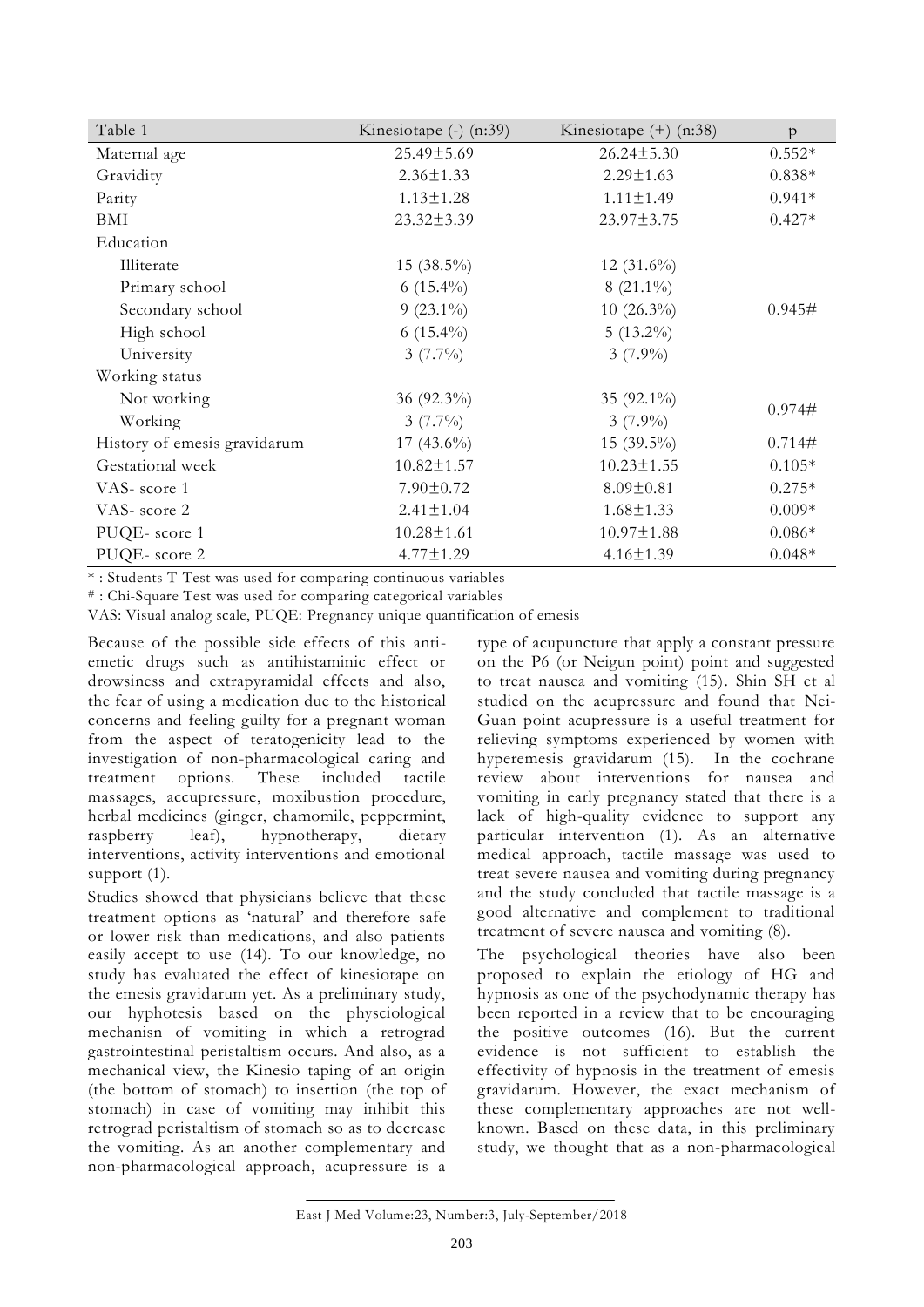| Table 1                      | Kinesiotape (-) (n:39) | Kinesiotape $(+)$ (n:38) | $\mathbf{p}$ |
|------------------------------|------------------------|--------------------------|--------------|
| Maternal age                 | 25.49±5.69             | $26.24 \pm 5.30$         | $0.552*$     |
| Gravidity                    | $2.36 \pm 1.33$        | $2.29 \pm 1.63$          | $0.838*$     |
| Parity                       | $1.13 \pm 1.28$        | $1.11 \pm 1.49$          | $0.941*$     |
| BMI                          | $23.32 \pm 3.39$       | 23.97±3.75               | $0.427*$     |
| Education                    |                        |                          |              |
| Illiterate                   | $15(38.5\%)$           | 12 $(31.6\%)$            |              |
| Primary school               | 6 $(15.4\%)$           | $8(21.1\%)$              | 0.945#       |
| Secondary school             | $9(23.1\%)$            | $10(26.3\%)$             |              |
| High school                  | 6 $(15.4\%)$           | $5(13.2\%)$              |              |
| University                   | $3(7.7\%)$             | $3(7.9\%)$               |              |
| Working status               |                        |                          |              |
| Not working                  | 36 (92.3%)             | 35 $(92.1\%)$            | 0.974#       |
| Working                      | $3(7.7\%)$             | $3(7.9\%)$               |              |
| History of emesis gravidarum | 17 $(43.6\%)$          | $15(39.5\%)$             | 0.714#       |
| Gestational week             | $10.82 \pm 1.57$       | $10.23 \pm 1.55$         | $0.105*$     |
| VAS-score 1                  | $7.90 \pm 0.72$        | $8.09 \pm 0.81$          | $0.275*$     |
| VAS-score 2                  | $2.41 \pm 1.04$        | $1.68 \pm 1.33$          | $0.009*$     |
| PUQE-score 1                 | $10.28 \pm 1.61$       | $10.97 \pm 1.88$         | $0.086*$     |
| PUQE-score 2                 | $4.77 \pm 1.29$        | $4.16 \pm 1.39$          | $0.048*$     |

\* : Students T-Test was used for comparing continuous variables

# : Chi-Square Test was used for comparing categorical variables

VAS: Visual analog scale, PUQE: Pregnancy unique quantification of emesis

Because of the possible side effects of this antiemetic drugs such as antihistaminic effect or drowsiness and extrapyramidal effects and also, the fear of using a medication due to the historical concerns and feeling guilty for a pregnant woman from the aspect of teratogenicity lead to the investigation of non-pharmacological caring and treatment options. These included tactile massages, accupressure, moxibustion procedure, herbal medicines (ginger, chamomile, peppermint, raspberry leaf), hypnotherapy, dietary interventions, activity interventions and emotional support  $(1)$ .

Studies showed that physicians believe that these treatment options as 'natural' and therefore safe or lower risk than medications, and also patients easily accept to use (14). To our knowledge, no study has evaluated the effect of kinesiotape on the emesis gravidarum yet. As a preliminary study, our hyphotesis based on the physciological mechanisn of vomiting in which a retrograd gastrointestinal peristaltism occurs. And also, as a mechanical view, the Kinesio taping of an origin (the bottom of stomach) to insertion (the top of stomach) in case of vomiting may inhibit this retrograd peristaltism of stomach so as to decrease the vomiting. As an another complementary and non-pharmacological approach, acupressure is a

type of acupuncture that apply a constant pressure on the P6 (or Neigun point) point and suggested to treat nausea and vomiting (15). Shin SH et al studied on the acupressure and found that Nei-Guan point acupressure is a useful treatment for relieving symptoms experienced by women with hyperemesis gravidarum (15). In the cochrane review about interventions for nausea and vomiting in early pregnancy stated that there is a lack of high-quality evidence to support any particular intervention (1). As an alternative medical approach, tactile massage was used to treat severe nausea and vomiting during pregnancy and the study concluded that tactile massage is a good alternative and complement to traditional treatment of severe nausea and vomiting (8).

The psychological theories have also been proposed to explain the etiology of HG and hypnosis as one of the psychodynamic therapy has been reported in a review that to be encouraging the positive outcomes (16). But the current evidence is not sufficient to establish the effectivity of hypnosis in the treatment of emesis gravidarum. However, the exact mechanism of these complementary approaches are not wellknown. Based on these data, in this preliminary study, we thought that as a non-pharmacological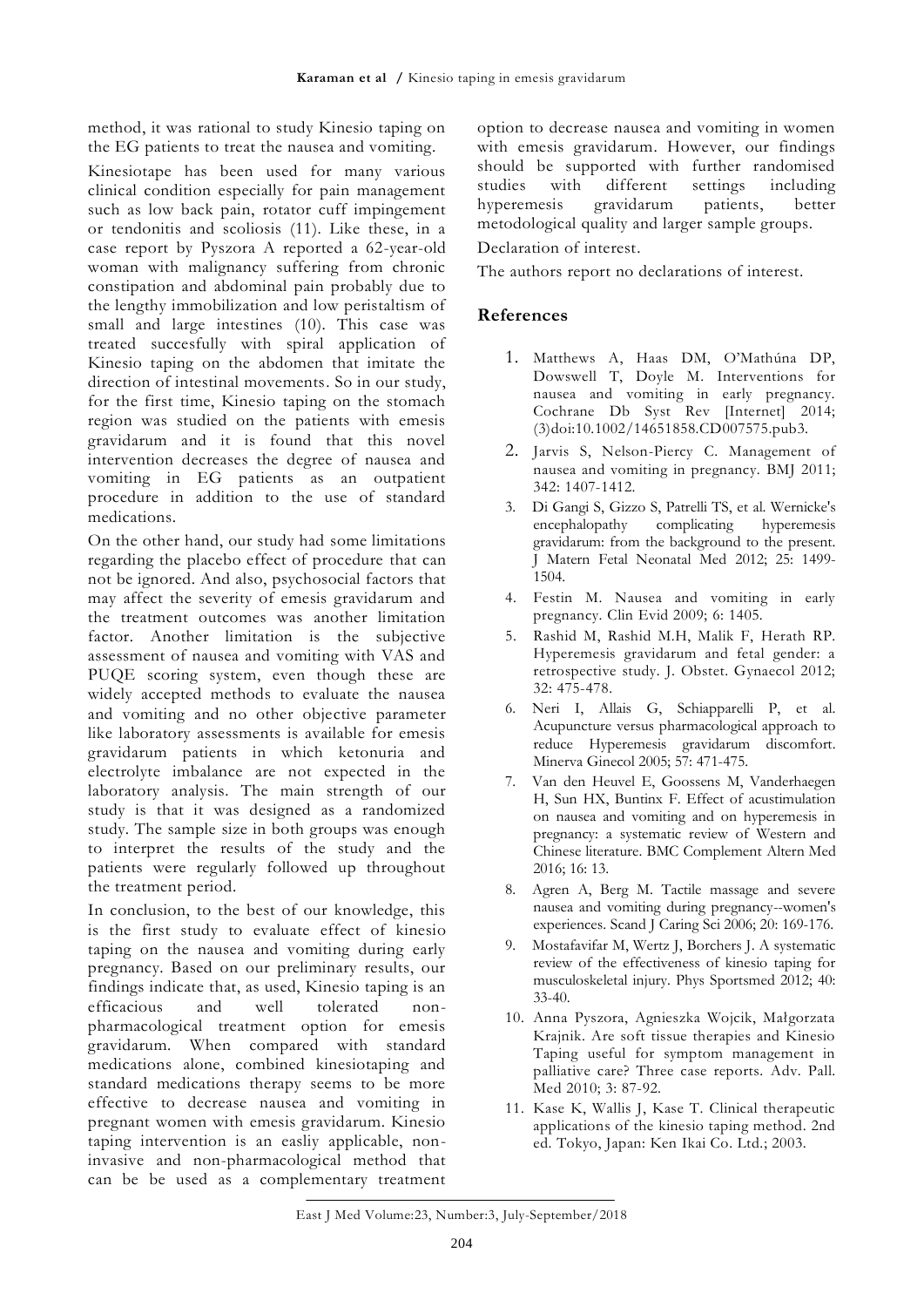method, it was rational to study Kinesio taping on the EG patients to treat the nausea and vomiting.

Kinesiotape has been used for many various clinical condition especially for pain management such as low back pain, rotator cuff impingement or tendonitis and scoliosis (11). Like these, in a case report by Pyszora A reported a 62-year-old woman with malignancy suffering from chronic constipation and abdominal pain probably due to the lengthy immobilization and low peristaltism of small and large intestines (10). This case was treated succesfully with spiral application of Kinesio taping on the abdomen that imitate the direction of intestinal movements. So in our study, for the first time, Kinesio taping on the stomach region was studied on the patients with emesis gravidarum and it is found that this novel intervention decreases the degree of nausea and vomiting in EG patients as an outpatient procedure in addition to the use of standard medications.

On the other hand, our study had some limitations regarding the placebo effect of procedure that can not be ignored. And also, psychosocial factors that may affect the severity of emesis gravidarum and the treatment outcomes was another limitation factor. Another limitation is the subjective assessment of nausea and vomiting with VAS and PUQE scoring system, even though these are widely accepted methods to evaluate the nausea and vomiting and no other objective parameter like laboratory assessments is available for emesis gravidarum patients in which ketonuria and electrolyte imbalance are not expected in the laboratory analysis. The main strength of our study is that it was designed as a randomized study. The sample size in both groups was enough to interpret the results of the study and the patients were regularly followed up throughout the treatment period.

In conclusion, to the best of our knowledge, this is the first study to evaluate effect of kinesio taping on the nausea and vomiting during early pregnancy. Based on our preliminary results, our findings indicate that, as used, Kinesio taping is an efficacious and well tolerated nonpharmacological treatment option for emesis gravidarum. When compared with standard medications alone, combined kinesiotaping and standard medications therapy seems to be more effective to decrease nausea and vomiting in pregnant women with emesis gravidarum. Kinesio taping intervention is an easliy applicable, noninvasive and non-pharmacological method that can be be used as a complementary treatment option to decrease nausea and vomiting in women with emesis gravidarum. However, our findings should be supported with further randomised studies with different settings including hyperemesis gravidarum patients, better metodological quality and larger sample groups.

Declaration of interest.

The authors report no declarations of interest.

## **References**

- 1. Matthews A, Haas DM, O'Mathúna DP, Dowswell T, Doyle M. Interventions for nausea and vomiting in early pregnancy. Cochrane Db Syst Rev [Internet] 2014; (3)doi:10.1002/14651858.CD007575.pub3.
- 2. Jarvis S, Nelson-Piercy C. Management of nausea and vomiting in pregnancy. BMJ 2011; 342: 1407-1412.
- 3. Di Gangi S, Gizzo S, Patrelli TS, et al. Wernicke's encephalopathy complicating hyperemesis gravidarum: from the background to the present. J Matern Fetal Neonatal Med 2012; 25: 1499- 1504.
- 4. Festin M. Nausea and vomiting in early pregnancy. Clin Evid 2009; 6: 1405.
- 5. Rashid M, Rashid M.H, Malik F, Herath RP. Hyperemesis gravidarum and fetal gender: a retrospective study. J. Obstet. Gynaecol 2012; 32: 475-478.
- 6. Neri I, Allais G, Schiapparelli P, et al. Acupuncture versus pharmacological approach to reduce Hyperemesis gravidarum discomfort. Minerva Ginecol 2005; 57: 471-475.
- 7. Van den Heuvel E, Goossens M, Vanderhaegen H, Sun HX, Buntinx F. Effect of acustimulation on nausea and vomiting and on hyperemesis in pregnancy: a systematic review of Western and Chinese literature. BMC Complement Altern Med 2016; 16: 13.
- 8. Agren A, Berg M. Tactile massage and severe nausea and vomiting during pregnancy--women's experiences. Scand J Caring Sci 2006; 20: 169-176.
- 9. Mostafavifar M, Wertz J, Borchers J. A systematic review of the effectiveness of kinesio taping for musculoskeletal injury. Phys Sportsmed 2012; 40: 33-40.
- 10. Anna Pyszora, Agnieszka Wojcik, Małgorzata Krajnik. Are soft tissue therapies and Kinesio Taping useful for symptom management in palliative care? Three case reports. Adv. Pall. Med 2010; 3: 87-92.
- 11. Kase K, Wallis J, Kase T. Clinical therapeutic applications of the kinesio taping method. 2nd ed. Tokyo, Japan: Ken Ikai Co. Ltd.; 2003.

East J Med Volume:23, Number:3, July-September/2018